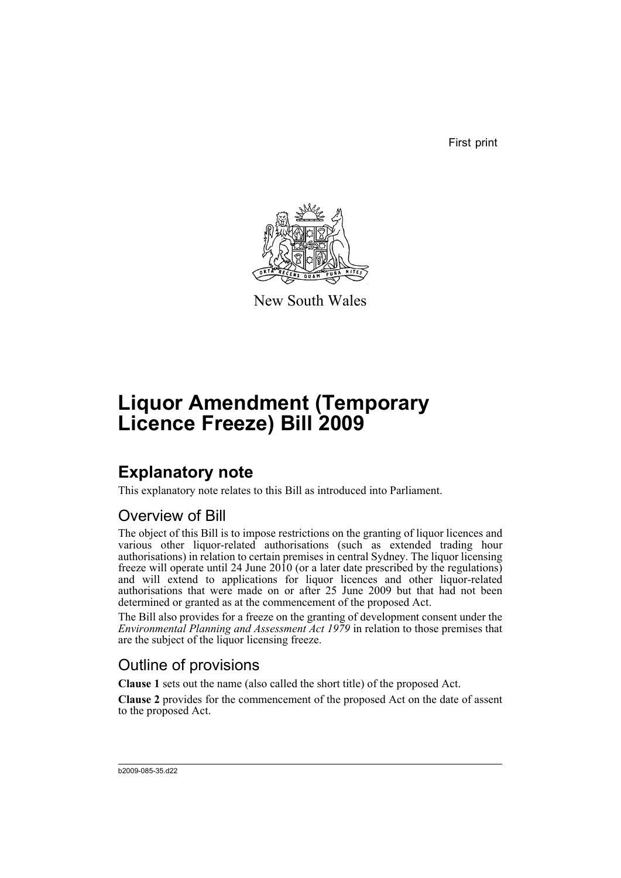First print



New South Wales

# **Liquor Amendment (Temporary Licence Freeze) Bill 2009**

# **Explanatory note**

This explanatory note relates to this Bill as introduced into Parliament.

## Overview of Bill

The object of this Bill is to impose restrictions on the granting of liquor licences and various other liquor-related authorisations (such as extended trading hour authorisations) in relation to certain premises in central Sydney. The liquor licensing freeze will operate until 24 June 2010 (or a later date prescribed by the regulations) and will extend to applications for liquor licences and other liquor-related authorisations that were made on or after 25 June 2009 but that had not been determined or granted as at the commencement of the proposed Act.

The Bill also provides for a freeze on the granting of development consent under the *Environmental Planning and Assessment Act 1979* in relation to those premises that are the subject of the liquor licensing freeze.

## Outline of provisions

**Clause 1** sets out the name (also called the short title) of the proposed Act.

**Clause 2** provides for the commencement of the proposed Act on the date of assent to the proposed Act.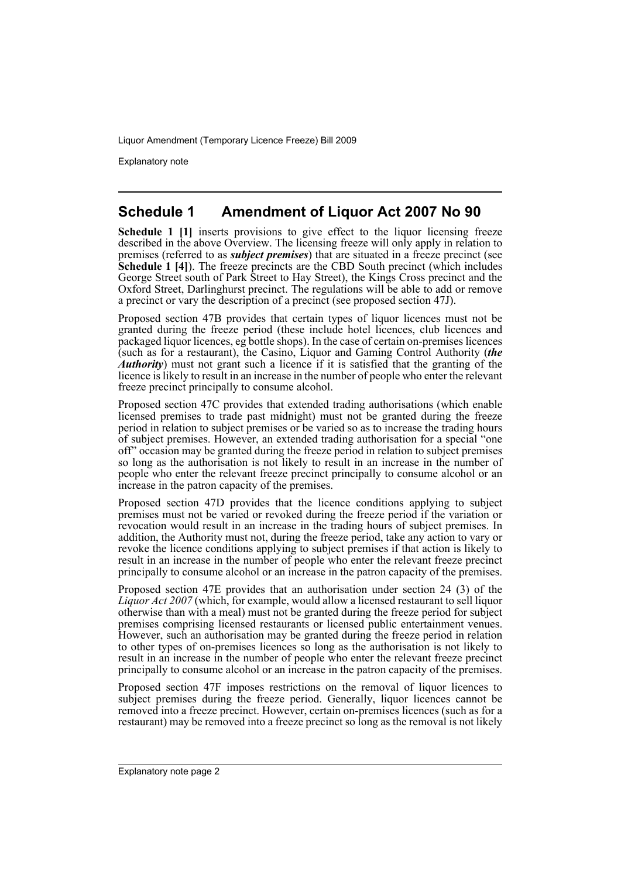Explanatory note

## **Schedule 1 Amendment of Liquor Act 2007 No 90**

**Schedule 1** [1] inserts provisions to give effect to the liquor licensing freeze described in the above Overview. The licensing freeze will only apply in relation to premises (referred to as *subject premises*) that are situated in a freeze precinct (see **Schedule 1 [4]**). The freeze precincts are the CBD South precinct (which includes George Street south of Park Street to Hay Street), the Kings Cross precinct and the Oxford Street, Darlinghurst precinct. The regulations will be able to add or remove a precinct or vary the description of a precinct (see proposed section 47J).

Proposed section 47B provides that certain types of liquor licences must not be granted during the freeze period (these include hotel licences, club licences and packaged liquor licences, eg bottle shops). In the case of certain on-premises licences (such as for a restaurant), the Casino, Liquor and Gaming Control Authority (*the Authority*) must not grant such a licence if it is satisfied that the granting of the licence is likely to result in an increase in the number of people who enter the relevant freeze precinct principally to consume alcohol.

Proposed section 47C provides that extended trading authorisations (which enable licensed premises to trade past midnight) must not be granted during the freeze period in relation to subject premises or be varied so as to increase the trading hours of subject premises. However, an extended trading authorisation for a special "one off" occasion may be granted during the freeze period in relation to subject premises so long as the authorisation is not likely to result in an increase in the number of people who enter the relevant freeze precinct principally to consume alcohol or an increase in the patron capacity of the premises.

Proposed section 47D provides that the licence conditions applying to subject premises must not be varied or revoked during the freeze period if the variation or revocation would result in an increase in the trading hours of subject premises. In addition, the Authority must not, during the freeze period, take any action to vary or revoke the licence conditions applying to subject premises if that action is likely to result in an increase in the number of people who enter the relevant freeze precinct principally to consume alcohol or an increase in the patron capacity of the premises.

Proposed section 47E provides that an authorisation under section 24 (3) of the *Liquor Act 2007* (which, for example, would allow a licensed restaurant to sell liquor otherwise than with a meal) must not be granted during the freeze period for subject premises comprising licensed restaurants or licensed public entertainment venues. However, such an authorisation may be granted during the freeze period in relation to other types of on-premises licences so long as the authorisation is not likely to result in an increase in the number of people who enter the relevant freeze precinct principally to consume alcohol or an increase in the patron capacity of the premises.

Proposed section 47F imposes restrictions on the removal of liquor licences to subject premises during the freeze period. Generally, liquor licences cannot be removed into a freeze precinct. However, certain on-premises licences (such as for a restaurant) may be removed into a freeze precinct so long as the removal is not likely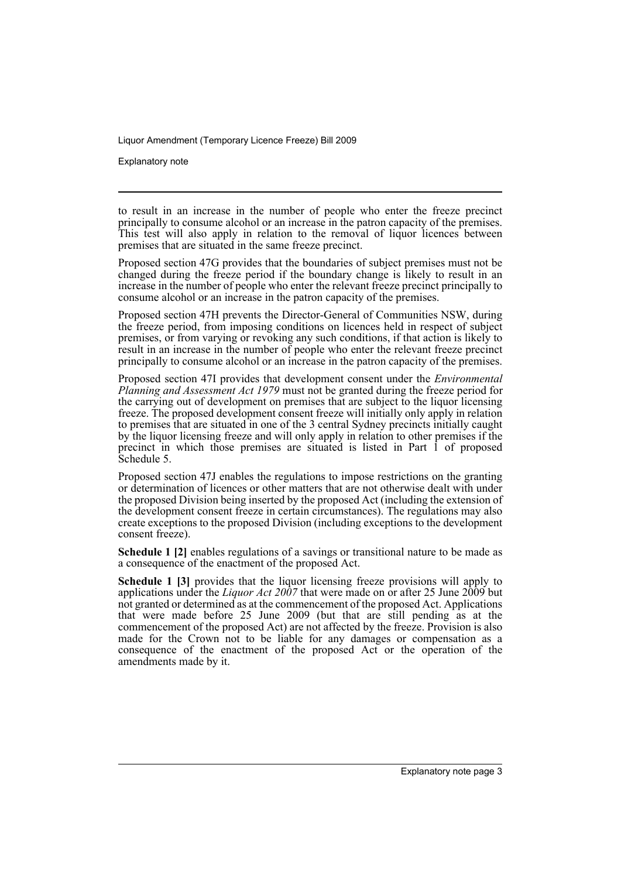Explanatory note

to result in an increase in the number of people who enter the freeze precinct principally to consume alcohol or an increase in the patron capacity of the premises. This test will also apply in relation to the removal of liquor licences between premises that are situated in the same freeze precinct.

Proposed section 47G provides that the boundaries of subject premises must not be changed during the freeze period if the boundary change is likely to result in an increase in the number of people who enter the relevant freeze precinct principally to consume alcohol or an increase in the patron capacity of the premises.

Proposed section 47H prevents the Director-General of Communities NSW, during the freeze period, from imposing conditions on licences held in respect of subject premises, or from varying or revoking any such conditions, if that action is likely to result in an increase in the number of people who enter the relevant freeze precinct principally to consume alcohol or an increase in the patron capacity of the premises.

Proposed section 47I provides that development consent under the *Environmental Planning and Assessment Act 1979* must not be granted during the freeze period for the carrying out of development on premises that are subject to the liquor licensing freeze. The proposed development consent freeze will initially only apply in relation to premises that are situated in one of the 3 central Sydney precincts initially caught by the liquor licensing freeze and will only apply in relation to other premises if the precinct in which those premises are situated is listed in Part 1 of proposed Schedule 5.

Proposed section 47J enables the regulations to impose restrictions on the granting or determination of licences or other matters that are not otherwise dealt with under the proposed Division being inserted by the proposed Act (including the extension of the development consent freeze in certain circumstances). The regulations may also create exceptions to the proposed Division (including exceptions to the development consent freeze).

**Schedule 1 [2]** enables regulations of a savings or transitional nature to be made as a consequence of the enactment of the proposed Act.

**Schedule 1 [3]** provides that the liquor licensing freeze provisions will apply to applications under the *Liquor Act 2007* that were made on or after 25 June 2009 but not granted or determined as at the commencement of the proposed Act. Applications that were made before  $25$  June  $2009$  (but that are still pending as at the commencement of the proposed Act) are not affected by the freeze. Provision is also made for the Crown not to be liable for any damages or compensation as a consequence of the enactment of the proposed Act or the operation of the amendments made by it.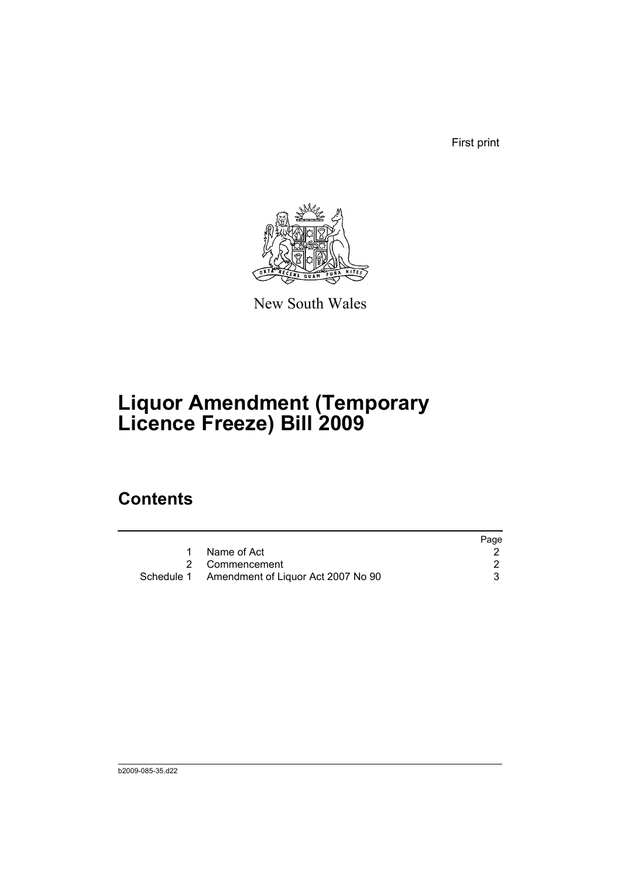First print



New South Wales

# **Liquor Amendment (Temporary Licence Freeze) Bill 2009**

## **Contents**

|                                               | Page |
|-----------------------------------------------|------|
| 1 Name of Act                                 |      |
| 2 Commencement                                |      |
| Schedule 1 Amendment of Liquor Act 2007 No 90 |      |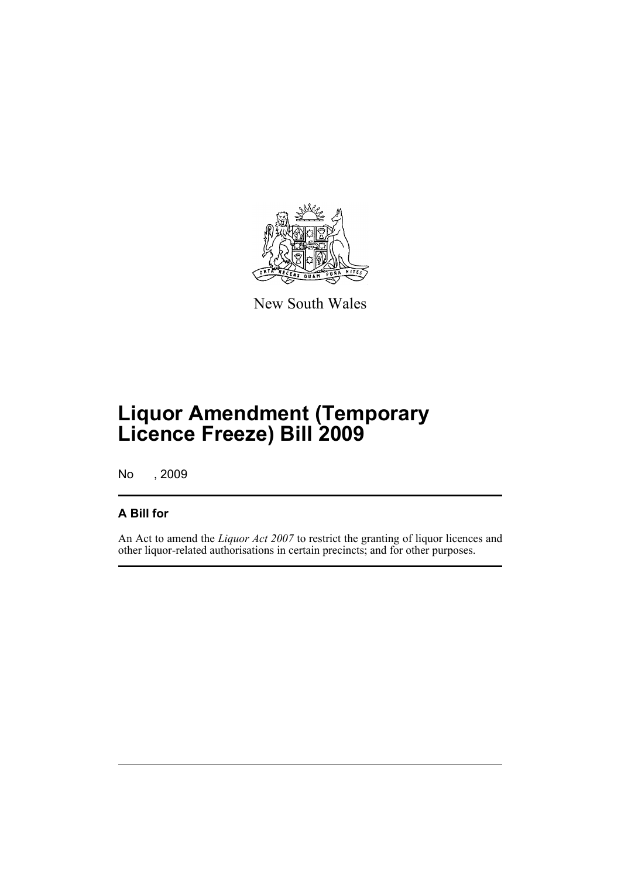

New South Wales

# **Liquor Amendment (Temporary Licence Freeze) Bill 2009**

No , 2009

## **A Bill for**

An Act to amend the *Liquor Act 2007* to restrict the granting of liquor licences and other liquor-related authorisations in certain precincts; and for other purposes.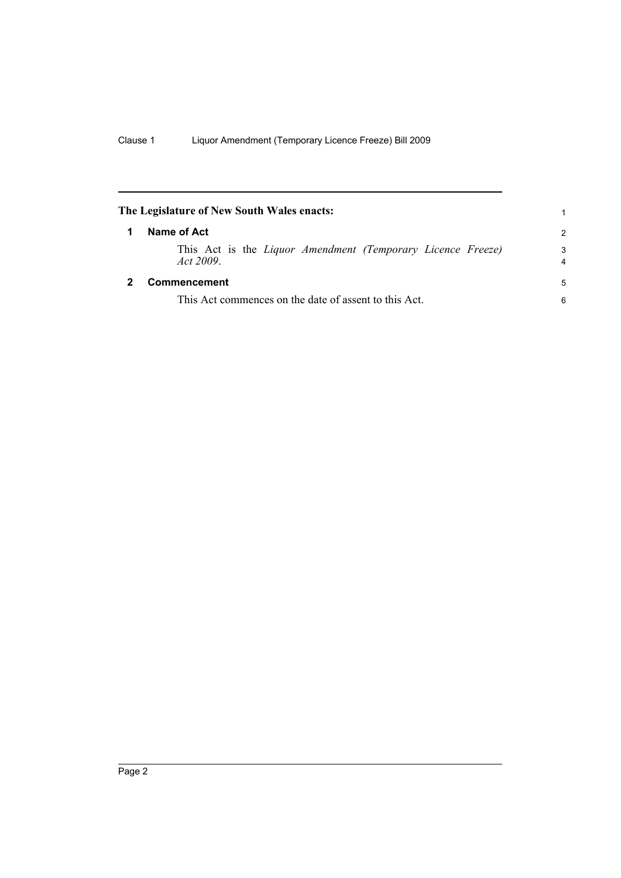<span id="page-7-1"></span><span id="page-7-0"></span>

| The Legislature of New South Wales enacts:<br>1 |                                                                         |               |  |  |  |  |  |
|-------------------------------------------------|-------------------------------------------------------------------------|---------------|--|--|--|--|--|
| 1                                               | Name of Act                                                             | $\mathcal{P}$ |  |  |  |  |  |
|                                                 | This Act is the Liquor Amendment (Temporary Licence Freeze)<br>Act 2009 | 3<br>4        |  |  |  |  |  |
|                                                 | Commencement                                                            | 5             |  |  |  |  |  |
|                                                 | This Act commences on the date of assent to this Act.                   | 6             |  |  |  |  |  |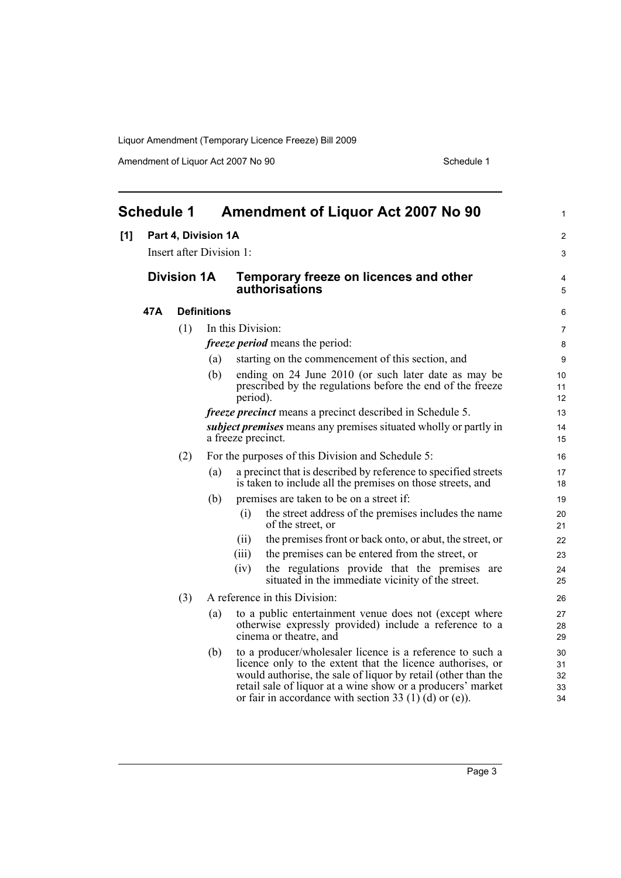Amendment of Liquor Act 2007 No 90 Schedule 1

<span id="page-8-0"></span>

| <b>Schedule 1</b> |                     |                    |                          | <b>Amendment of Liquor Act 2007 No 90</b> | 1                                                                                                                                                                                                                                                                                                                 |                            |
|-------------------|---------------------|--------------------|--------------------------|-------------------------------------------|-------------------------------------------------------------------------------------------------------------------------------------------------------------------------------------------------------------------------------------------------------------------------------------------------------------------|----------------------------|
| [1]               | Part 4, Division 1A |                    |                          |                                           |                                                                                                                                                                                                                                                                                                                   | $\overline{c}$             |
|                   |                     |                    | Insert after Division 1: |                                           |                                                                                                                                                                                                                                                                                                                   | 3                          |
|                   |                     | <b>Division 1A</b> |                          |                                           | Temporary freeze on licences and other<br><b>authorisations</b>                                                                                                                                                                                                                                                   | 4<br>5                     |
|                   | 47A                 |                    | <b>Definitions</b>       |                                           |                                                                                                                                                                                                                                                                                                                   | 6                          |
|                   |                     | (1)                |                          | In this Division:                         |                                                                                                                                                                                                                                                                                                                   | 7                          |
|                   |                     |                    |                          |                                           | <i>freeze period</i> means the period:                                                                                                                                                                                                                                                                            | 8                          |
|                   |                     |                    | (a)                      |                                           | starting on the commencement of this section, and                                                                                                                                                                                                                                                                 | 9                          |
|                   |                     |                    | (b)                      | period).                                  | ending on 24 June 2010 (or such later date as may be<br>prescribed by the regulations before the end of the freeze                                                                                                                                                                                                | 10<br>11<br>12             |
|                   |                     |                    |                          |                                           | <i>freeze precinct</i> means a precinct described in Schedule 5.                                                                                                                                                                                                                                                  | 13                         |
|                   |                     |                    |                          | a freeze precinct.                        | <i>subject premises</i> means any premises situated wholly or partly in                                                                                                                                                                                                                                           | 14<br>15                   |
|                   |                     | (2)                |                          |                                           | For the purposes of this Division and Schedule 5:                                                                                                                                                                                                                                                                 | 16                         |
|                   |                     |                    | (a)                      |                                           | a precinct that is described by reference to specified streets<br>is taken to include all the premises on those streets, and                                                                                                                                                                                      | 17<br>18                   |
|                   |                     |                    | (b)                      |                                           | premises are taken to be on a street if:                                                                                                                                                                                                                                                                          | 19                         |
|                   |                     |                    |                          | (i)                                       | the street address of the premises includes the name<br>of the street, or                                                                                                                                                                                                                                         | 20<br>21                   |
|                   |                     |                    |                          | (ii)                                      | the premises front or back onto, or abut, the street, or                                                                                                                                                                                                                                                          | 22                         |
|                   |                     |                    |                          | (iii)                                     | the premises can be entered from the street, or                                                                                                                                                                                                                                                                   | 23                         |
|                   |                     |                    |                          | (iv)                                      | the regulations provide that the premises are<br>situated in the immediate vicinity of the street.                                                                                                                                                                                                                | 24<br>25                   |
|                   |                     | (3)                |                          |                                           | A reference in this Division:                                                                                                                                                                                                                                                                                     | 26                         |
|                   |                     |                    | (a)                      |                                           | to a public entertainment venue does not (except where<br>otherwise expressly provided) include a reference to a<br>cinema or theatre, and                                                                                                                                                                        | 27<br>28<br>29             |
|                   |                     |                    | (b)                      |                                           | to a producer/wholesaler licence is a reference to such a<br>licence only to the extent that the licence authorises, or<br>would authorise, the sale of liquor by retail (other than the<br>retail sale of liquor at a wine show or a producers' market<br>or fair in accordance with section 33 (1) (d) or (e)). | 30<br>31<br>32<br>33<br>34 |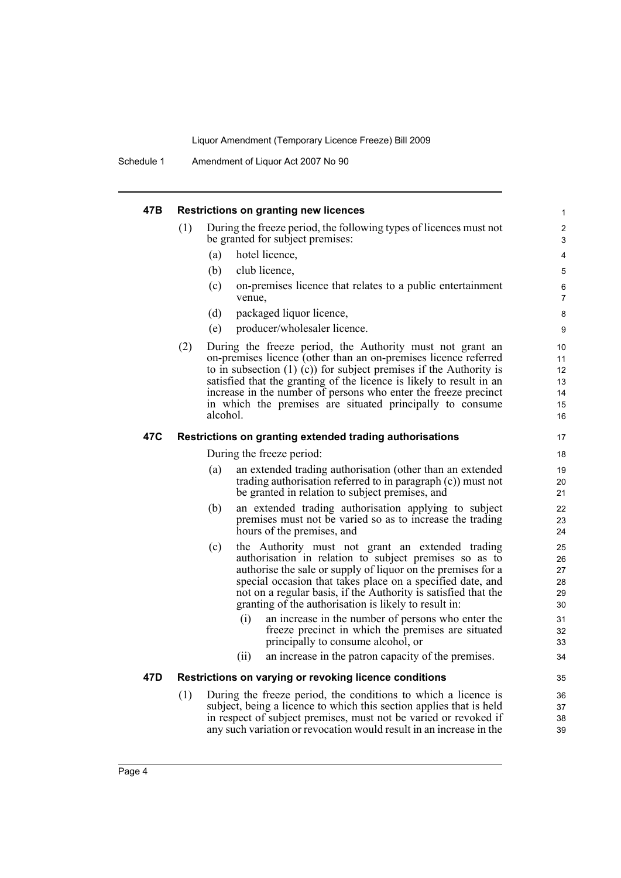Schedule 1 Amendment of Liquor Act 2007 No 90

| 47B |                           | <b>Restrictions on granting new licences</b>                                                                                                                                                                                                                                                                                                                                                                             | 1                                      |  |  |  |
|-----|---------------------------|--------------------------------------------------------------------------------------------------------------------------------------------------------------------------------------------------------------------------------------------------------------------------------------------------------------------------------------------------------------------------------------------------------------------------|----------------------------------------|--|--|--|
|     | (1)                       | During the freeze period, the following types of licences must not<br>be granted for subject premises:                                                                                                                                                                                                                                                                                                                   | 2<br>3                                 |  |  |  |
|     |                           | hotel licence,<br>(a)                                                                                                                                                                                                                                                                                                                                                                                                    | 4                                      |  |  |  |
|     |                           | (b)<br>club licence,                                                                                                                                                                                                                                                                                                                                                                                                     | 5                                      |  |  |  |
|     |                           | (c)<br>on-premises licence that relates to a public entertainment<br>venue,                                                                                                                                                                                                                                                                                                                                              | 6<br>7                                 |  |  |  |
|     |                           | (d)<br>packaged liquor licence,                                                                                                                                                                                                                                                                                                                                                                                          | 8                                      |  |  |  |
|     |                           | producer/wholesaler licence.<br>(e)                                                                                                                                                                                                                                                                                                                                                                                      | 9                                      |  |  |  |
|     | (2)                       | During the freeze period, the Authority must not grant an<br>on-premises licence (other than an on-premises licence referred<br>to in subsection $(1)$ (c)) for subject premises if the Authority is<br>satisfied that the granting of the licence is likely to result in an<br>increase in the number of persons who enter the freeze precinct<br>in which the premises are situated principally to consume<br>alcohol. | 10<br>11<br>12<br>13<br>14<br>15<br>16 |  |  |  |
| 47C |                           | Restrictions on granting extended trading authorisations                                                                                                                                                                                                                                                                                                                                                                 | 17                                     |  |  |  |
|     | During the freeze period: |                                                                                                                                                                                                                                                                                                                                                                                                                          |                                        |  |  |  |
|     |                           | an extended trading authorisation (other than an extended<br>(a)<br>trading authorisation referred to in paragraph (c)) must not<br>be granted in relation to subject premises, and                                                                                                                                                                                                                                      | 19<br>20<br>21                         |  |  |  |
|     |                           | (b)<br>an extended trading authorisation applying to subject<br>premises must not be varied so as to increase the trading<br>hours of the premises, and                                                                                                                                                                                                                                                                  | 22<br>23<br>24                         |  |  |  |
|     |                           | the Authority must not grant an extended trading<br>(c)<br>authorisation in relation to subject premises so as to<br>authorise the sale or supply of liquor on the premises for a<br>special occasion that takes place on a specified date, and<br>not on a regular basis, if the Authority is satisfied that the<br>granting of the authorisation is likely to result in:                                               | 25<br>26<br>27<br>28<br>29<br>30       |  |  |  |
|     |                           | an increase in the number of persons who enter the<br>(i)<br>freeze precinct in which the premises are situated<br>principally to consume alcohol, or                                                                                                                                                                                                                                                                    | 31<br>32<br>33                         |  |  |  |
|     |                           | (ii)<br>an increase in the patron capacity of the premises.                                                                                                                                                                                                                                                                                                                                                              | 34                                     |  |  |  |
| 47D |                           | Restrictions on varying or revoking licence conditions                                                                                                                                                                                                                                                                                                                                                                   | 35                                     |  |  |  |
|     | (1)                       | During the freeze period, the conditions to which a licence is                                                                                                                                                                                                                                                                                                                                                           | 36                                     |  |  |  |
|     |                           | subject, being a licence to which this section applies that is held<br>in respect of subject premises, must not be varied or revoked if<br>any such variation or revocation would result in an increase in the                                                                                                                                                                                                           | 37<br>38<br>39                         |  |  |  |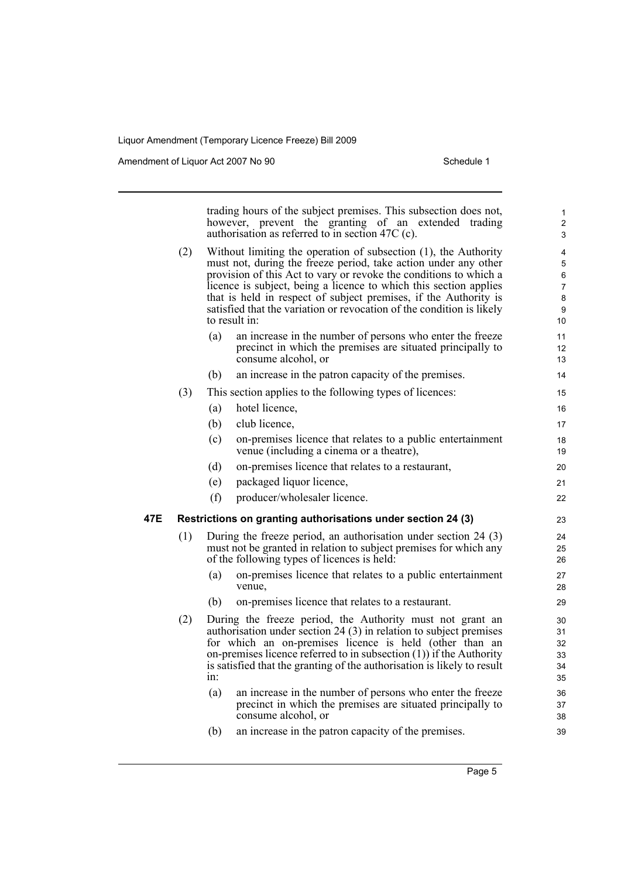Amendment of Liquor Act 2007 No 90 Schedule 1

trading hours of the subject premises. This subsection does not, however, prevent the granting of an extended trading authorisation as referred to in section 47C (c). (2) Without limiting the operation of subsection (1), the Authority must not, during the freeze period, take action under any other provision of this Act to vary or revoke the conditions to which a licence is subject, being a licence to which this section applies that is held in respect of subject premises, if the Authority is satisfied that the variation or revocation of the condition is likely to result in: (a) an increase in the number of persons who enter the freeze precinct in which the premises are situated principally to consume alcohol, or (b) an increase in the patron capacity of the premises. (3) This section applies to the following types of licences: (a) hotel licence, (b) club licence, (c) on-premises licence that relates to a public entertainment venue (including a cinema or a theatre), (d) on-premises licence that relates to a restaurant, (e) packaged liquor licence, (f) producer/wholesaler licence. **47E Restrictions on granting authorisations under section 24 (3)** (1) During the freeze period, an authorisation under section 24 (3) must not be granted in relation to subject premises for which any of the following types of licences is held: (a) on-premises licence that relates to a public entertainment venue, (b) on-premises licence that relates to a restaurant. (2) During the freeze period, the Authority must not grant an authorisation under section 24 (3) in relation to subject premises for which an on-premises licence is held (other than an on-premises licence referred to in subsection (1)) if the Authority is satisfied that the granting of the authorisation is likely to result in: (a) an increase in the number of persons who enter the freeze precinct in which the premises are situated principally to consume alcohol, or (b) an increase in the patron capacity of the premises. 1 2 3 4 5 6 7 8 9 10 11 12 13 14 15 16 17 18 19 20 21  $22$ 23  $24$ 25 26 27 28 29 30 31 32 33 34 35 36 37 38 39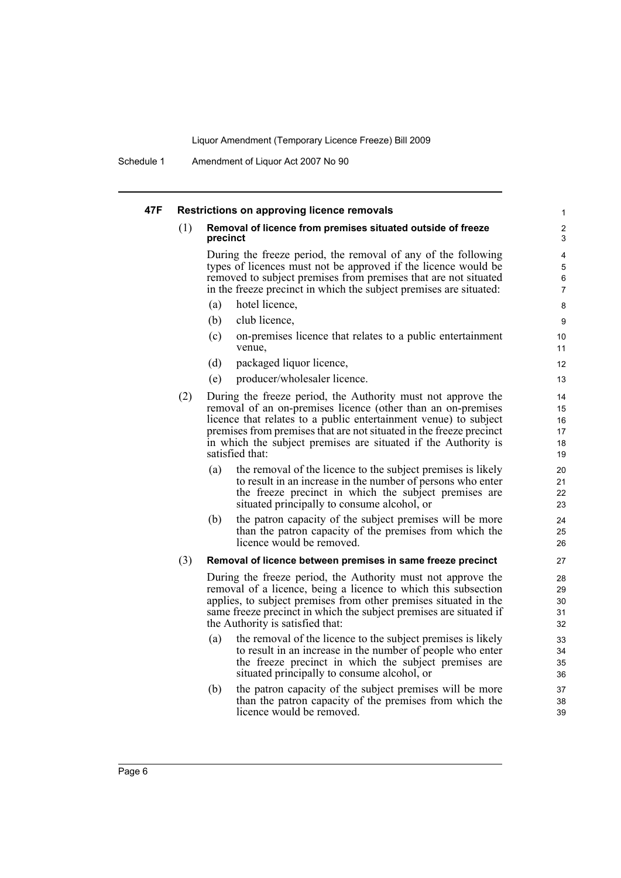Schedule 1 Amendment of Liquor Act 2007 No 90

#### **47F Restrictions on approving licence removals**

#### (1) **Removal of licence from premises situated outside of freeze precinct**

During the freeze period, the removal of any of the following types of licences must not be approved if the licence would be removed to subject premises from premises that are not situated in the freeze precinct in which the subject premises are situated:

- (a) hotel licence,
- (b) club licence,
- (c) on-premises licence that relates to a public entertainment venue,
- (d) packaged liquor licence,
- (e) producer/wholesaler licence.
- (2) During the freeze period, the Authority must not approve the removal of an on-premises licence (other than an on-premises licence that relates to a public entertainment venue) to subject premises from premises that are not situated in the freeze precinct in which the subject premises are situated if the Authority is satisfied that:
	- (a) the removal of the licence to the subject premises is likely to result in an increase in the number of persons who enter the freeze precinct in which the subject premises are situated principally to consume alcohol, or
	- (b) the patron capacity of the subject premises will be more than the patron capacity of the premises from which the licence would be removed.

#### (3) **Removal of licence between premises in same freeze precinct**

During the freeze period, the Authority must not approve the removal of a licence, being a licence to which this subsection applies, to subject premises from other premises situated in the same freeze precinct in which the subject premises are situated if the Authority is satisfied that:

- (a) the removal of the licence to the subject premises is likely to result in an increase in the number of people who enter the freeze precinct in which the subject premises are situated principally to consume alcohol, or
- (b) the patron capacity of the subject premises will be more than the patron capacity of the premises from which the licence would be removed.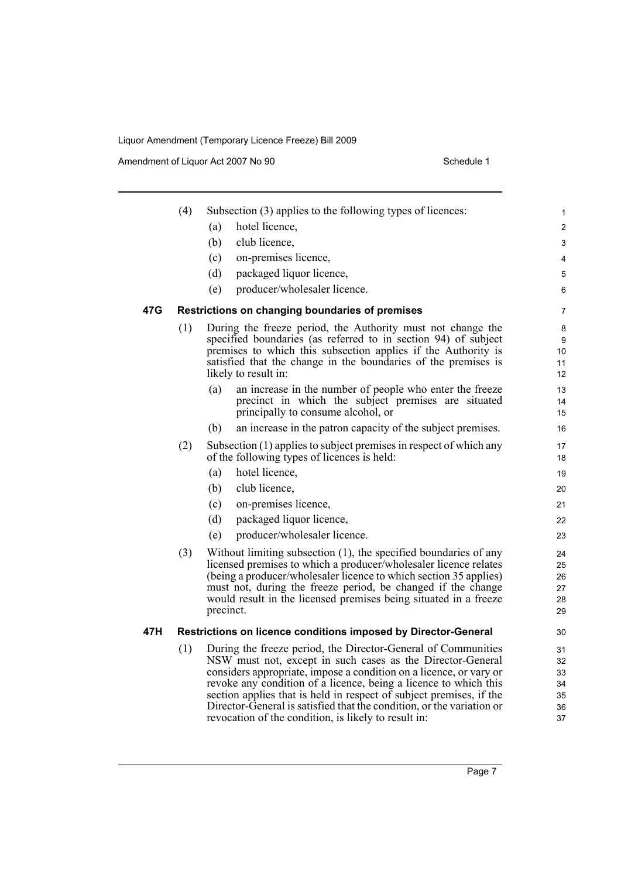Amendment of Liquor Act 2007 No 90 Schedule 1

|     | (4) | Subsection (3) applies to the following types of licences:                                                                                                                                                                                                                                                                                                                                                            | 1                                |
|-----|-----|-----------------------------------------------------------------------------------------------------------------------------------------------------------------------------------------------------------------------------------------------------------------------------------------------------------------------------------------------------------------------------------------------------------------------|----------------------------------|
|     |     | hotel licence,<br>(a)                                                                                                                                                                                                                                                                                                                                                                                                 | 2                                |
|     |     | club licence,<br>(b)                                                                                                                                                                                                                                                                                                                                                                                                  | 3                                |
|     |     | on-premises licence,<br>(c)                                                                                                                                                                                                                                                                                                                                                                                           | 4                                |
|     |     | packaged liquor licence,<br>(d)                                                                                                                                                                                                                                                                                                                                                                                       | 5                                |
|     |     | producer/wholesaler licence.<br>(e)                                                                                                                                                                                                                                                                                                                                                                                   | 6                                |
| 47G |     | Restrictions on changing boundaries of premises                                                                                                                                                                                                                                                                                                                                                                       | 7                                |
|     | (1) | During the freeze period, the Authority must not change the<br>specified boundaries (as referred to in section 94) of subject<br>premises to which this subsection applies if the Authority is<br>satisfied that the change in the boundaries of the premises is<br>likely to result in:                                                                                                                              | 8<br>9<br>10<br>11<br>12         |
|     |     | (a)<br>an increase in the number of people who enter the freeze<br>precinct in which the subject premises are situated<br>principally to consume alcohol, or                                                                                                                                                                                                                                                          | 13<br>14<br>15                   |
|     |     | (b)<br>an increase in the patron capacity of the subject premises.                                                                                                                                                                                                                                                                                                                                                    | 16                               |
|     | (2) | Subsection (1) applies to subject premises in respect of which any<br>of the following types of licences is held:                                                                                                                                                                                                                                                                                                     | 17<br>18                         |
|     |     | hotel licence,<br>(a)                                                                                                                                                                                                                                                                                                                                                                                                 | 19                               |
|     |     | club licence,<br>(b)                                                                                                                                                                                                                                                                                                                                                                                                  | 20                               |
|     |     | on-premises licence,<br>(c)                                                                                                                                                                                                                                                                                                                                                                                           | 21                               |
|     |     | packaged liquor licence,<br>(d)                                                                                                                                                                                                                                                                                                                                                                                       | 22                               |
|     |     | producer/wholesaler licence.<br>(e)                                                                                                                                                                                                                                                                                                                                                                                   | 23                               |
|     | (3) | Without limiting subsection (1), the specified boundaries of any<br>licensed premises to which a producer/wholesaler licence relates<br>(being a producer/wholesaler licence to which section 35 applies)<br>must not, during the freeze period, be changed if the change<br>would result in the licensed premises being situated in a freeze<br>precinct.                                                            | 24<br>25<br>26<br>27<br>28<br>29 |
| 47H |     | Restrictions on licence conditions imposed by Director-General                                                                                                                                                                                                                                                                                                                                                        | 30                               |
|     | (1) | During the freeze period, the Director-General of Communities<br>NSW must not, except in such cases as the Director-General<br>considers appropriate, impose a condition on a licence, or vary or<br>revoke any condition of a licence, being a licence to which this<br>section applies that is held in respect of subject premises, if the<br>Director-General is satisfied that the condition, or the variation or | 31<br>32<br>33<br>34<br>35<br>36 |

revocation of the condition, is likely to result in:

37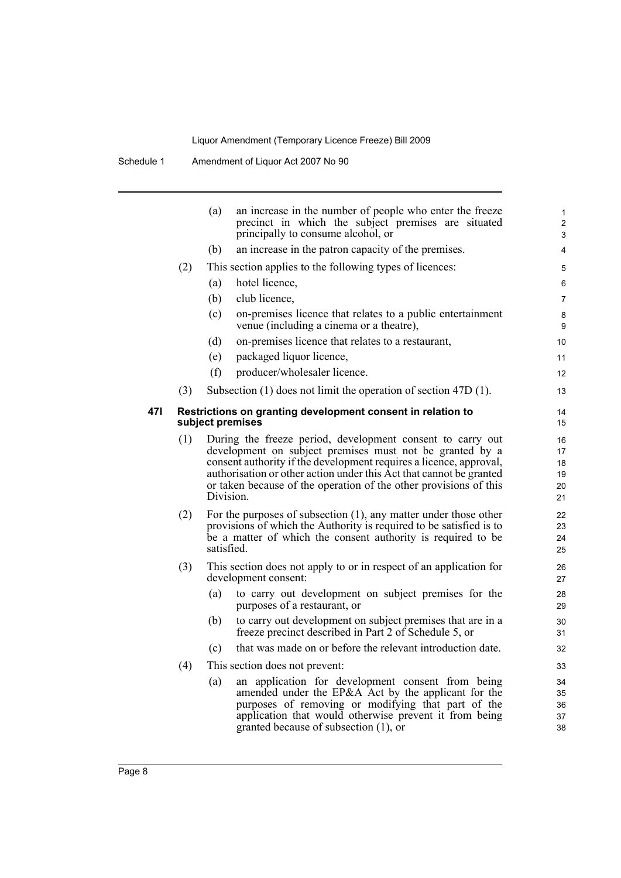|     | an increase in the number of people who enter the freeze<br>(a)<br>precinct in which the subject premises are situated<br>principally to consume alcohol, or | 1<br>$\overline{\mathbf{c}}$<br>$\mathsf 3$                                                                                                                                                                                                                                                                                                                                                                                    |
|-----|--------------------------------------------------------------------------------------------------------------------------------------------------------------|--------------------------------------------------------------------------------------------------------------------------------------------------------------------------------------------------------------------------------------------------------------------------------------------------------------------------------------------------------------------------------------------------------------------------------|
|     | an increase in the patron capacity of the premises.<br>(b)                                                                                                   | 4                                                                                                                                                                                                                                                                                                                                                                                                                              |
| (2) | This section applies to the following types of licences:                                                                                                     | 5                                                                                                                                                                                                                                                                                                                                                                                                                              |
|     | hotel licence,<br>(a)                                                                                                                                        | 6                                                                                                                                                                                                                                                                                                                                                                                                                              |
|     | club licence,<br>(b)                                                                                                                                         | $\overline{7}$                                                                                                                                                                                                                                                                                                                                                                                                                 |
|     | (c)<br>on-premises licence that relates to a public entertainment<br>venue (including a cinema or a theatre),                                                | 8<br>9                                                                                                                                                                                                                                                                                                                                                                                                                         |
|     | (d)<br>on-premises licence that relates to a restaurant,                                                                                                     | 10                                                                                                                                                                                                                                                                                                                                                                                                                             |
|     | (e)<br>packaged liquor licence,                                                                                                                              | 11                                                                                                                                                                                                                                                                                                                                                                                                                             |
|     | (f)<br>producer/wholesaler licence.                                                                                                                          | 12                                                                                                                                                                                                                                                                                                                                                                                                                             |
| (3) | Subsection $(1)$ does not limit the operation of section 47D $(1)$ .                                                                                         | 13                                                                                                                                                                                                                                                                                                                                                                                                                             |
|     |                                                                                                                                                              | 14<br>15                                                                                                                                                                                                                                                                                                                                                                                                                       |
| (1) | During the freeze period, development consent to carry out                                                                                                   | 16<br>17                                                                                                                                                                                                                                                                                                                                                                                                                       |
|     | consent authority if the development requires a licence, approval,                                                                                           | 18                                                                                                                                                                                                                                                                                                                                                                                                                             |
|     |                                                                                                                                                              | 19<br>20                                                                                                                                                                                                                                                                                                                                                                                                                       |
|     | Division.                                                                                                                                                    | 21                                                                                                                                                                                                                                                                                                                                                                                                                             |
| (2) | For the purposes of subsection $(1)$ , any matter under those other                                                                                          | 22                                                                                                                                                                                                                                                                                                                                                                                                                             |
|     |                                                                                                                                                              | 23                                                                                                                                                                                                                                                                                                                                                                                                                             |
|     | satisfied.                                                                                                                                                   | 24<br>25                                                                                                                                                                                                                                                                                                                                                                                                                       |
| (3) | This section does not apply to or in respect of an application for<br>development consent:                                                                   | 26<br>27                                                                                                                                                                                                                                                                                                                                                                                                                       |
|     | to carry out development on subject premises for the<br>(a)<br>purposes of a restaurant, or                                                                  | 28<br>29                                                                                                                                                                                                                                                                                                                                                                                                                       |
|     | to carry out development on subject premises that are in a<br>(b)<br>freeze precinct described in Part 2 of Schedule 5, or                                   | 30<br>31                                                                                                                                                                                                                                                                                                                                                                                                                       |
|     | that was made on or before the relevant introduction date.<br>(c)                                                                                            | 32                                                                                                                                                                                                                                                                                                                                                                                                                             |
| (4) | This section does not prevent:                                                                                                                               | 33                                                                                                                                                                                                                                                                                                                                                                                                                             |
|     | an application for development consent from being<br>(a)                                                                                                     | 34                                                                                                                                                                                                                                                                                                                                                                                                                             |
|     | amended under the EP&A Act by the applicant for the                                                                                                          | 35                                                                                                                                                                                                                                                                                                                                                                                                                             |
|     |                                                                                                                                                              |                                                                                                                                                                                                                                                                                                                                                                                                                                |
|     | purposes of removing or modifying that part of the<br>application that would otherwise prevent it from being                                                 | 36<br>37                                                                                                                                                                                                                                                                                                                                                                                                                       |
|     |                                                                                                                                                              | Restrictions on granting development consent in relation to<br>subject premises<br>development on subject premises must not be granted by a<br>authorisation or other action under this Act that cannot be granted<br>or taken because of the operation of the other provisions of this<br>provisions of which the Authority is required to be satisfied is to<br>be a matter of which the consent authority is required to be |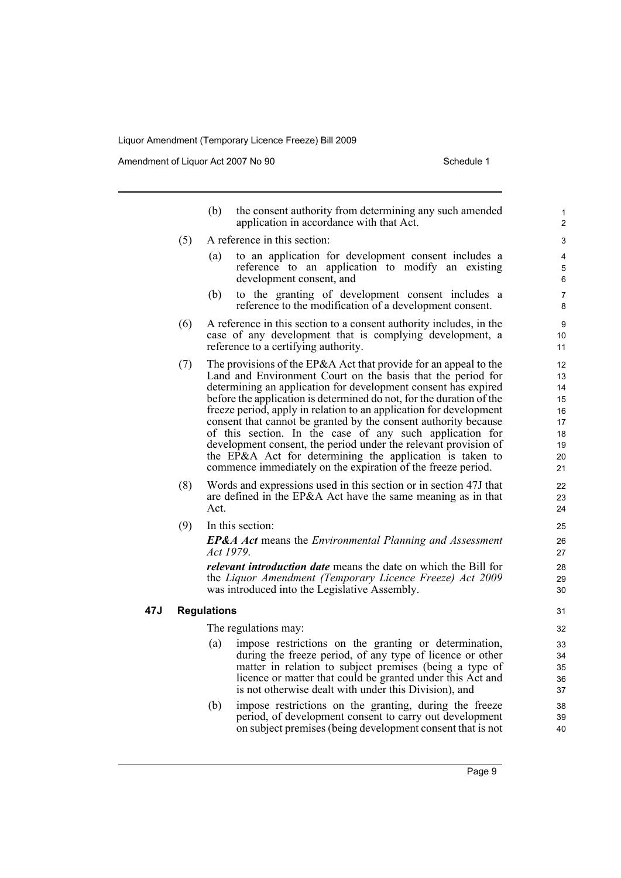Amendment of Liquor Act 2007 No 90 Schedule 1

|     |     | (b)                | the consent authority from determining any such amended<br>application in accordance with that Act.                                                                                                                                                                                                                                                                                                                                                                                                                                                                                                                                                                           | $\mathbf{1}$<br>2                                                       |
|-----|-----|--------------------|-------------------------------------------------------------------------------------------------------------------------------------------------------------------------------------------------------------------------------------------------------------------------------------------------------------------------------------------------------------------------------------------------------------------------------------------------------------------------------------------------------------------------------------------------------------------------------------------------------------------------------------------------------------------------------|-------------------------------------------------------------------------|
|     | (5) |                    | A reference in this section:                                                                                                                                                                                                                                                                                                                                                                                                                                                                                                                                                                                                                                                  | 3                                                                       |
|     |     | (a)                | to an application for development consent includes a<br>reference to an application to modify an existing<br>development consent, and                                                                                                                                                                                                                                                                                                                                                                                                                                                                                                                                         | 4<br>5<br>6                                                             |
|     |     | (b)                | to the granting of development consent includes a<br>reference to the modification of a development consent.                                                                                                                                                                                                                                                                                                                                                                                                                                                                                                                                                                  | $\overline{7}$<br>8                                                     |
|     | (6) |                    | A reference in this section to a consent authority includes, in the<br>case of any development that is complying development, a<br>reference to a certifying authority.                                                                                                                                                                                                                                                                                                                                                                                                                                                                                                       | 9<br>10<br>11                                                           |
|     | (7) |                    | The provisions of the EP&A Act that provide for an appeal to the<br>Land and Environment Court on the basis that the period for<br>determining an application for development consent has expired<br>before the application is determined do not, for the duration of the<br>freeze period, apply in relation to an application for development<br>consent that cannot be granted by the consent authority because<br>of this section. In the case of any such application for<br>development consent, the period under the relevant provision of<br>the EP&A Act for determining the application is taken to<br>commence immediately on the expiration of the freeze period. | $12 \overline{ }$<br>13<br>14<br>15<br>16<br>17<br>18<br>19<br>20<br>21 |
|     | (8) | Act.               | Words and expressions used in this section or in section 47J that<br>are defined in the EP&A Act have the same meaning as in that                                                                                                                                                                                                                                                                                                                                                                                                                                                                                                                                             | 22<br>23<br>24                                                          |
|     | (9) |                    | In this section:                                                                                                                                                                                                                                                                                                                                                                                                                                                                                                                                                                                                                                                              | 25                                                                      |
|     |     | Act 1979.          | <b>EP&amp;A Act</b> means the Environmental Planning and Assessment                                                                                                                                                                                                                                                                                                                                                                                                                                                                                                                                                                                                           | 26<br>27                                                                |
|     |     |                    | <i>relevant introduction date</i> means the date on which the Bill for<br>the Liquor Amendment (Temporary Licence Freeze) Act 2009<br>was introduced into the Legislative Assembly.                                                                                                                                                                                                                                                                                                                                                                                                                                                                                           | 28<br>29<br>30                                                          |
| 47J |     | <b>Regulations</b> |                                                                                                                                                                                                                                                                                                                                                                                                                                                                                                                                                                                                                                                                               | 31                                                                      |
|     |     |                    | The regulations may:                                                                                                                                                                                                                                                                                                                                                                                                                                                                                                                                                                                                                                                          | 32                                                                      |
|     |     | (a)                | impose restrictions on the granting or determination,<br>during the freeze period, of any type of licence or other<br>matter in relation to subject premises (being a type of<br>licence or matter that could be granted under this Act and<br>is not otherwise dealt with under this Division), and                                                                                                                                                                                                                                                                                                                                                                          | 33<br>34<br>35<br>36<br>37                                              |
|     |     | (b)                | impose restrictions on the granting, during the freeze<br>period, of development consent to carry out development<br>on subject premises (being development consent that is not                                                                                                                                                                                                                                                                                                                                                                                                                                                                                               | 38<br>39<br>40                                                          |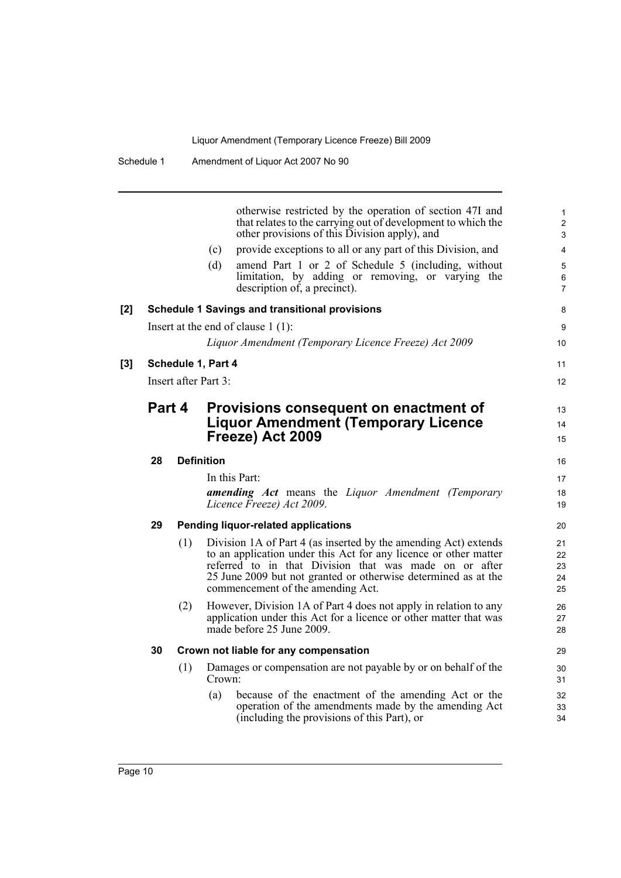|     |        |     | (c)<br>(d)           | otherwise restricted by the operation of section 47I and<br>that relates to the carrying out of development to which the<br>other provisions of this Division apply), and<br>provide exceptions to all or any part of this Division, and<br>amend Part 1 or 2 of Schedule 5 (including, without<br>limitation, by adding or removing, or varying the<br>description of, a precinct). | 1<br>$\overline{c}$<br>3<br>4<br>5<br>6<br>7 |
|-----|--------|-----|----------------------|--------------------------------------------------------------------------------------------------------------------------------------------------------------------------------------------------------------------------------------------------------------------------------------------------------------------------------------------------------------------------------------|----------------------------------------------|
| [2] |        |     |                      | <b>Schedule 1 Savings and transitional provisions</b>                                                                                                                                                                                                                                                                                                                                | 8                                            |
|     |        |     |                      | Insert at the end of clause $1(1)$ :                                                                                                                                                                                                                                                                                                                                                 | 9                                            |
|     |        |     |                      | Liquor Amendment (Temporary Licence Freeze) Act 2009                                                                                                                                                                                                                                                                                                                                 | 10                                           |
| [3] |        |     | Schedule 1, Part 4   |                                                                                                                                                                                                                                                                                                                                                                                      | 11                                           |
|     |        |     | Insert after Part 3: |                                                                                                                                                                                                                                                                                                                                                                                      | 12                                           |
|     | Part 4 |     |                      | Provisions consequent on enactment of<br><b>Liquor Amendment (Temporary Licence</b><br>Freeze) Act 2009                                                                                                                                                                                                                                                                              | 13<br>14<br>15                               |
|     | 28     |     | <b>Definition</b>    |                                                                                                                                                                                                                                                                                                                                                                                      | 16                                           |
|     |        |     | In this Part:        |                                                                                                                                                                                                                                                                                                                                                                                      | 17                                           |
|     |        |     |                      | amending Act means the Liquor Amendment (Temporary<br>Licence Freeze) Act 2009.                                                                                                                                                                                                                                                                                                      | 18<br>19                                     |
|     | 29     |     |                      | Pending liquor-related applications                                                                                                                                                                                                                                                                                                                                                  | 20                                           |
|     |        | (1) |                      | Division 1A of Part 4 (as inserted by the amending Act) extends<br>to an application under this Act for any licence or other matter<br>referred to in that Division that was made on or after<br>25 June 2009 but not granted or otherwise determined as at the<br>commencement of the amending Act.                                                                                 | 21<br>22<br>23<br>24<br>25                   |
|     |        | (2) |                      | However, Division 1A of Part 4 does not apply in relation to any<br>application under this Act for a licence or other matter that was<br>made before 25 June 2009.                                                                                                                                                                                                                   | 26<br>27<br>28                               |
|     | 30     |     |                      | Crown not liable for any compensation                                                                                                                                                                                                                                                                                                                                                | 29                                           |
|     |        | (1) | Crown:               | Damages or compensation are not payable by or on behalf of the                                                                                                                                                                                                                                                                                                                       | 30<br>31                                     |
|     |        |     | (a)                  | because of the enactment of the amending Act or the<br>operation of the amendments made by the amending Act<br>(including the provisions of this Part), or                                                                                                                                                                                                                           | 32<br>33<br>34                               |
|     |        |     |                      |                                                                                                                                                                                                                                                                                                                                                                                      |                                              |

[3]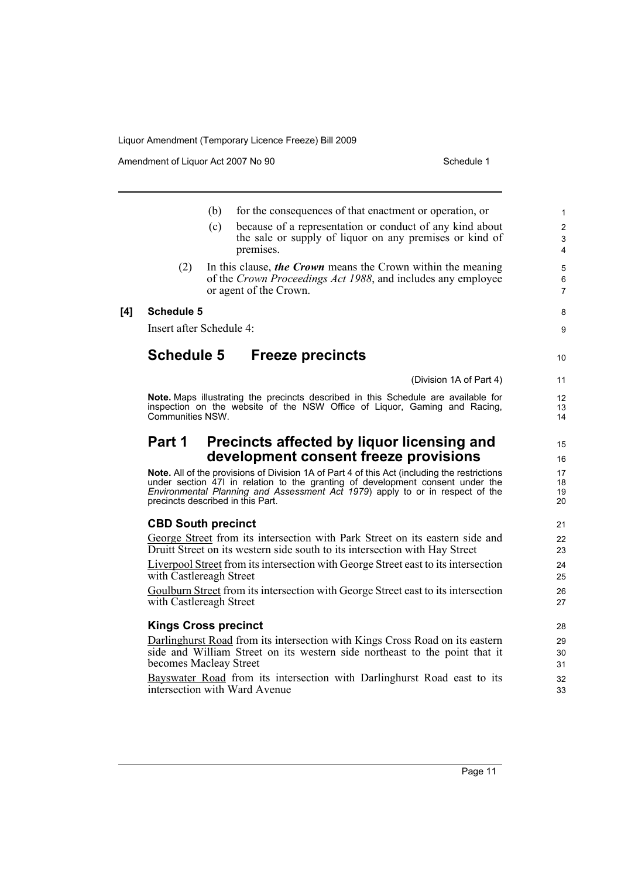Amendment of Liquor Act 2007 No 90 Schedule 1

|     |                                   | (b) | for the consequences of that enactment or operation, or                                                  | $\mathbf{1}$   |
|-----|-----------------------------------|-----|----------------------------------------------------------------------------------------------------------|----------------|
|     |                                   | (c) | because of a representation or conduct of any kind about                                                 | $\overline{2}$ |
|     |                                   |     | the sale or supply of liquor on any premises or kind of                                                  | 3              |
|     |                                   |     | premises.                                                                                                | $\overline{4}$ |
|     | (2)                               |     | In this clause, the Crown means the Crown within the meaning                                             | 5              |
|     |                                   |     | of the Crown Proceedings Act 1988, and includes any employee                                             | 6              |
|     |                                   |     | or agent of the Crown.                                                                                   | $\overline{7}$ |
| [4] | <b>Schedule 5</b>                 |     |                                                                                                          | 8              |
|     | Insert after Schedule 4:          |     |                                                                                                          | 9              |
|     | <b>Schedule 5</b>                 |     | <b>Freeze precincts</b>                                                                                  | 10             |
|     |                                   |     | (Division 1A of Part 4)                                                                                  | 11             |
|     |                                   |     | Note. Maps illustrating the precincts described in this Schedule are available for                       | 12             |
|     |                                   |     | inspection on the website of the NSW Office of Liquor, Gaming and Racing,                                | 13             |
|     | Communities NSW.                  |     |                                                                                                          | 14             |
|     | Part 1                            |     | Precincts affected by liquor licensing and                                                               | 15             |
|     |                                   |     | development consent freeze provisions                                                                    | 16             |
|     |                                   |     | Note. All of the provisions of Division 1A of Part 4 of this Act (including the restrictions             | 17             |
|     |                                   |     | under section 471 in relation to the granting of development consent under the                           | 18             |
|     | precincts described in this Part. |     | Environmental Planning and Assessment Act 1979) apply to or in respect of the                            | 19<br>20       |
|     | <b>CBD South precinct</b>         |     |                                                                                                          | 21             |
|     |                                   |     | George Street from its intersection with Park Street on its eastern side and                             | 22             |
|     |                                   |     | Druitt Street on its western side south to its intersection with Hay Street                              | 23             |
|     |                                   |     | Liverpool Street from its intersection with George Street east to its intersection                       | 24             |
|     | with Castlereagh Street           |     |                                                                                                          | 25             |
|     |                                   |     | Goulburn Street from its intersection with George Street east to its intersection                        | 26             |
|     | with Castlereagh Street           |     |                                                                                                          | 27             |
|     | <b>Kings Cross precinct</b>       |     |                                                                                                          | 28             |
|     |                                   |     | Darlinghurst Road from its intersection with Kings Cross Road on its eastern                             | 29             |
|     |                                   |     | side and William Street on its western side northeast to the point that it                               | 30             |
|     | becomes Macleay Street            |     |                                                                                                          | 31             |
|     |                                   |     | Bayswater Road from its intersection with Darlinghurst Road east to its<br>intersection with Ward Avenue | 32<br>33       |
|     |                                   |     |                                                                                                          |                |